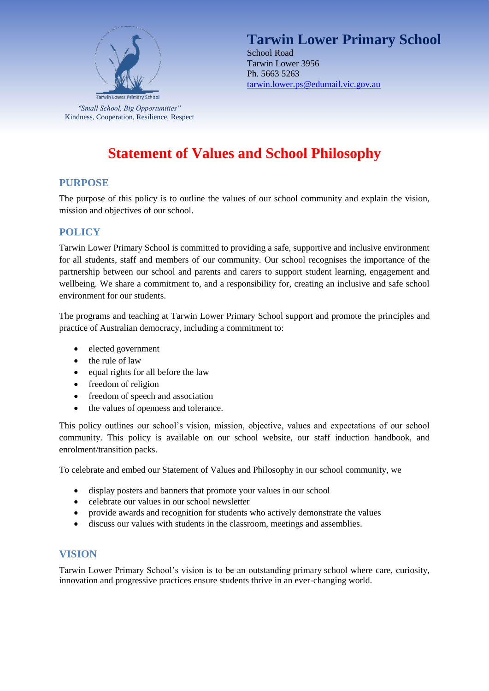

**Tarwin Lower Primary School** School Road Tarwin Lower 3956 Ph. 5663 5263 [tarwin.lower.ps@edumail.vic.gov.au](mailto:tarwin.lower.ps@edumail.vic.gov.au)

# **Statement of Values and School Philosophy**

## **PURPOSE**

The purpose of this policy is to outline the values of our school community and explain the vision, mission and objectives of our school.

## **POLICY**

Tarwin Lower Primary School is committed to providing a safe, supportive and inclusive environment for all students, staff and members of our community. Our school recognises the importance of the partnership between our school and parents and carers to support student learning, engagement and wellbeing. We share a commitment to, and a responsibility for, creating an inclusive and safe school environment for our students.

The programs and teaching at Tarwin Lower Primary School support and promote the principles and practice of Australian democracy, including a commitment to:

- elected government
- $\bullet$  the rule of law
- equal rights for all before the law
- freedom of religion
- freedom of speech and association
- the values of openness and tolerance.

This policy outlines our school's vision, mission, objective, values and expectations of our school community. This policy is available on our school website, our staff induction handbook, and enrolment/transition packs.

To celebrate and embed our Statement of Values and Philosophy in our school community, we

- display posters and banners that promote your values in our school
- celebrate our values in our school newsletter
- provide awards and recognition for students who actively demonstrate the values
- discuss our values with students in the classroom, meetings and assemblies.

## **VISION**

Tarwin Lower Primary School's vision is to be an outstanding primary school where care, curiosity, innovation and progressive practices ensure students thrive in an ever-changing world.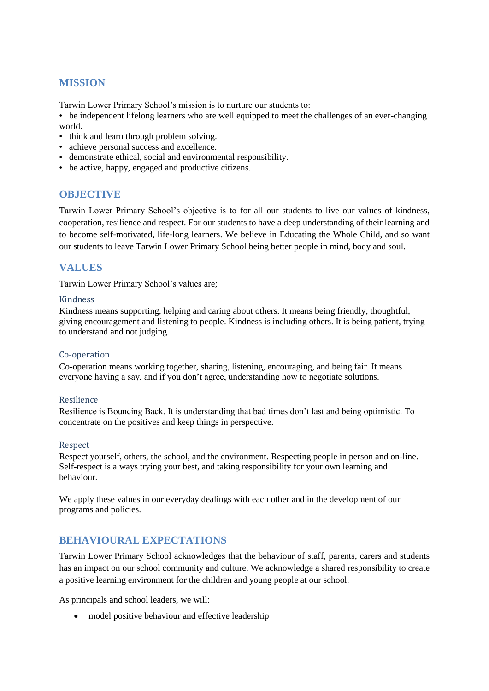## **MISSION**

Tarwin Lower Primary School's mission is to nurture our students to:

• be independent lifelong learners who are well equipped to meet the challenges of an ever-changing world.

- think and learn through problem solving.
- achieve personal success and excellence.
- demonstrate ethical, social and environmental responsibility.
- be active, happy, engaged and productive citizens.

### **OBJECTIVE**

Tarwin Lower Primary School's objective is to for all our students to live our values of kindness, cooperation, resilience and respect. For our students to have a deep understanding of their learning and to become self-motivated, life-long learners. We believe in Educating the Whole Child, and so want our students to leave Tarwin Lower Primary School being better people in mind, body and soul.

## **VALUES**

Tarwin Lower Primary School's values are;

#### Kindness

Kindness means supporting, helping and caring about others. It means being friendly, thoughtful, giving encouragement and listening to people. Kindness is including others. It is being patient, trying to understand and not judging.

#### Co-operation

Co-operation means working together, sharing, listening, encouraging, and being fair. It means everyone having a say, and if you don't agree, understanding how to negotiate solutions.

#### Resilience

Resilience is Bouncing Back. It is understanding that bad times don't last and being optimistic. To concentrate on the positives and keep things in perspective.

#### Respect

Respect yourself, others, the school, and the environment. Respecting people in person and on-line. Self-respect is always trying your best, and taking responsibility for your own learning and behaviour.

We apply these values in our everyday dealings with each other and in the development of our programs and policies.

## **BEHAVIOURAL EXPECTATIONS**

Tarwin Lower Primary School acknowledges that the behaviour of staff, parents, carers and students has an impact on our school community and culture. We acknowledge a shared responsibility to create a positive learning environment for the children and young people at our school.

As principals and school leaders, we will:

• model positive behaviour and effective leadership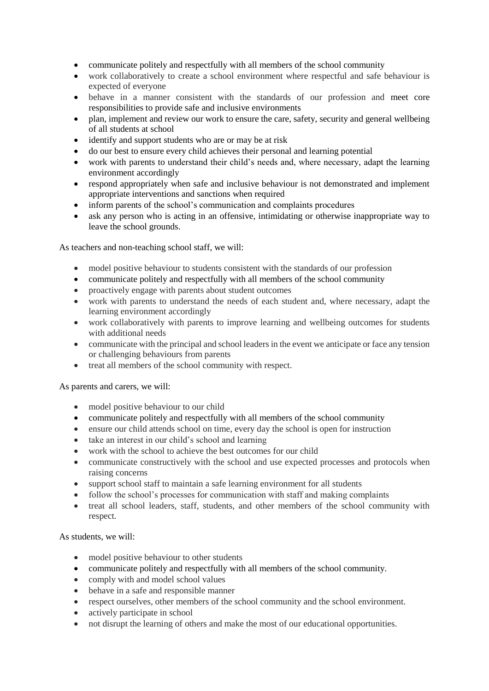- communicate politely and respectfully with all members of the school community
- work collaboratively to create a school environment where respectful and safe behaviour is expected of everyone
- behave in a manner consistent with the standards of our profession and meet core responsibilities to provide safe and inclusive environments
- plan, implement and review our work to ensure the care, safety, security and general wellbeing of all students at school
- identify and support students who are or may be at risk
- do our best to ensure every child achieves their personal and learning potential
- work with parents to understand their child's needs and, where necessary, adapt the learning environment accordingly
- respond appropriately when safe and inclusive behaviour is not demonstrated and implement appropriate interventions and sanctions when required
- inform parents of the school's communication and complaints procedures
- ask any person who is acting in an offensive, intimidating or otherwise inappropriate way to leave the school grounds.

As teachers and non-teaching school staff, we will:

- model positive behaviour to students consistent with the standards of our profession
- communicate politely and respectfully with all members of the school community
- proactively engage with parents about student outcomes
- work with parents to understand the needs of each student and, where necessary, adapt the learning environment accordingly
- work collaboratively with parents to improve learning and wellbeing outcomes for students with additional needs
- communicate with the principal and school leaders in the event we anticipate or face any tension or challenging behaviours from parents
- treat all members of the school community with respect.

As parents and carers, we will:

- model positive behaviour to our child
- communicate politely and respectfully with all members of the school community
- ensure our child attends school on time, every day the school is open for instruction
- take an interest in our child's school and learning
- work with the school to achieve the best outcomes for our child
- communicate constructively with the school and use expected processes and protocols when raising concerns
- support school staff to maintain a safe learning environment for all students
- follow the school's processes for communication with staff and making complaints
- treat all school leaders, staff, students, and other members of the school community with respect.

As students, we will:

- model positive behaviour to other students
- communicate politely and respectfully with all members of the school community.
- comply with and model school values
- behave in a safe and responsible manner
- respect ourselves, other members of the school community and the school environment.
- actively participate in school
- not disrupt the learning of others and make the most of our educational opportunities.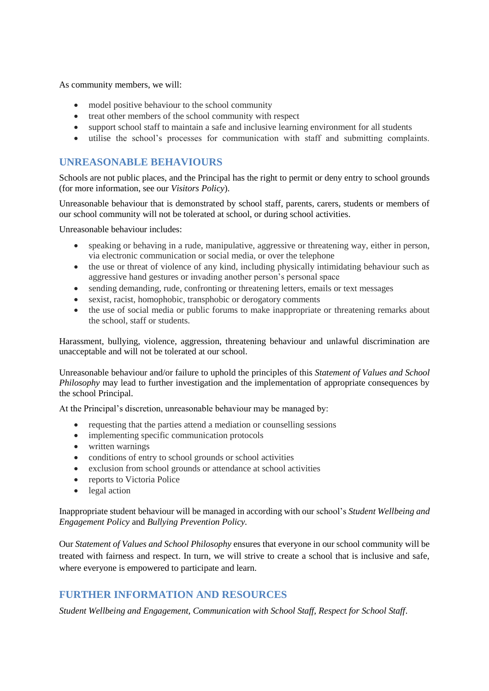As community members, we will:

- model positive behaviour to the school community
- treat other members of the school community with respect
- support school staff to maintain a safe and inclusive learning environment for all students
- utilise the school's processes for communication with staff and submitting complaints.

## **UNREASONABLE BEHAVIOURS**

Schools are not public places, and the Principal has the right to permit or deny entry to school grounds (for more information, see our *Visitors Policy*).

Unreasonable behaviour that is demonstrated by school staff, parents, carers, students or members of our school community will not be tolerated at school, or during school activities.

Unreasonable behaviour includes:

- speaking or behaving in a rude, manipulative, aggressive or threatening way, either in person, via electronic communication or social media, or over the telephone
- the use or threat of violence of any kind, including physically intimidating behaviour such as aggressive hand gestures or invading another person's personal space
- sending demanding, rude, confronting or threatening letters, emails or text messages
- sexist, racist, homophobic, transphobic or derogatory comments
- the use of social media or public forums to make inappropriate or threatening remarks about the school, staff or students.

Harassment, bullying, violence, aggression, threatening behaviour and unlawful discrimination are unacceptable and will not be tolerated at our school.

Unreasonable behaviour and/or failure to uphold the principles of this *Statement of Values and School Philosophy* may lead to further investigation and the implementation of appropriate consequences by the school Principal.

At the Principal's discretion, unreasonable behaviour may be managed by:

- requesting that the parties attend a mediation or counselling sessions
- implementing specific communication protocols
- written warnings
- conditions of entry to school grounds or school activities
- exclusion from school grounds or attendance at school activities
- reports to Victoria Police
- legal action

Inappropriate student behaviour will be managed in according with our school's *Student Wellbeing and Engagement Policy* and *Bullying Prevention Policy.*

Our *Statement of Values and School Philosophy* ensures that everyone in our school community will be treated with fairness and respect. In turn, we will strive to create a school that is inclusive and safe, where everyone is empowered to participate and learn.

## **FURTHER INFORMATION AND RESOURCES**

*Student Wellbeing and Engagement, Communication with School Staff, Respect for School Staff*.